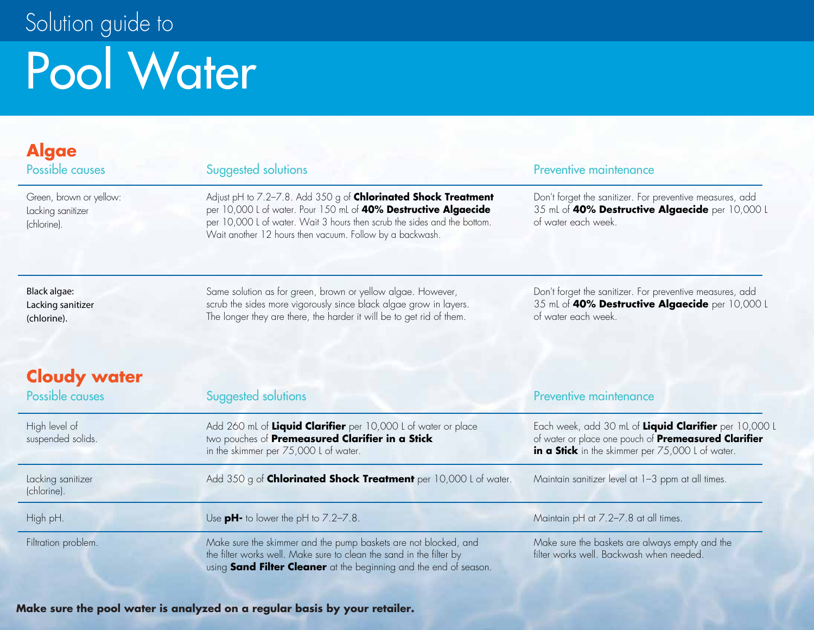# Pool Water Solution guide to

### **Algae**

Green, brown or yellow: Lacking sanitizer (chlorine).

Adjust pH to 7.2–7.8. Add 350 g of **Chlorinated Shock Treatment** per 10,000 L of water. Pour 150 mL of **40% Destructive Algaecide** per 10,000 L of water. Wait 3 hours then scrub the sides and the bottom. Wait another 12 hours then vacuum. Follow by a backwash.

#### Possible causes Suggested solutions Preventive maintenance

Don't forget the sanitizer. For preventive measures, add 35 mL of **40% Destructive Algaecide** per 10,000 L of water each week.

Black algae: Lacking sanitizer (chlorine).

Same solution as for green, brown or yellow algae. However, scrub the sides more vigorously since black algae grow in layers. The longer they are there, the harder it will be to get rid of them.

Don't forget the sanitizer. For preventive measures, add 35 mL of **40% Destructive Algaecide** per 10,000 L of water each week.

### **Cloudy water**

| Possible causes                    | Suggested solutions                                                                                                                                                                                         | Preventive maintenance                                                                                                                                                   |
|------------------------------------|-------------------------------------------------------------------------------------------------------------------------------------------------------------------------------------------------------------|--------------------------------------------------------------------------------------------------------------------------------------------------------------------------|
| High level of<br>suspended solids. | Add 260 mL of Liquid Clarifier per 10,000 L of water or place<br>two pouches of Premeasured Clarifier in a Stick<br>in the skimmer per 75,000 L of water.                                                   | Each week, add 30 mL of Liquid Clarifier per 10,000 L<br>of water or place one pouch of <b>Premeasured Clarifier</b><br>in a Stick in the skimmer per 75,000 L of water. |
| Lacking sanitizer<br>(chlorine).   | Add 350 g of Chlorinated Shock Treatment per 10,000 L of water.                                                                                                                                             | Maintain sanitizer level at 1-3 ppm at all times.                                                                                                                        |
| High pH.                           | Use $pH$ - to lower the pH to $7.2 - 7.8$ .                                                                                                                                                                 | Maintain pH at 7.2-7.8 at all times.                                                                                                                                     |
| Filtration problem.                | Make sure the skimmer and the pump baskets are not blocked, and<br>the filter works well. Make sure to clean the sand in the filter by<br>using Sand Filter Cleaner at the beginning and the end of season. | Make sure the baskets are always empty and the<br>filter works well. Backwash when needed.                                                                               |

**Make sure the pool water is analyzed on a regular basis by your retailer.**